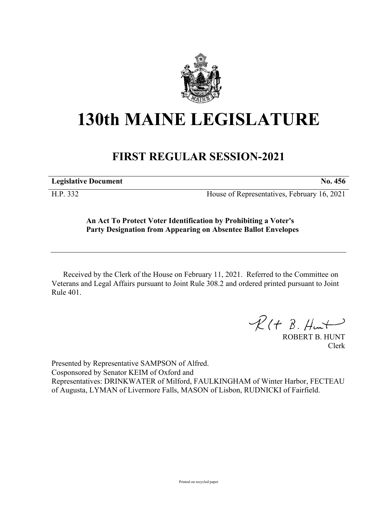

## **130th MAINE LEGISLATURE**

## **FIRST REGULAR SESSION-2021**

**Legislative Document No. 456**

H.P. 332 House of Representatives, February 16, 2021

## **An Act To Protect Voter Identification by Prohibiting a Voter's Party Designation from Appearing on Absentee Ballot Envelopes**

Received by the Clerk of the House on February 11, 2021. Referred to the Committee on Veterans and Legal Affairs pursuant to Joint Rule 308.2 and ordered printed pursuant to Joint Rule 401.

 $R(H B. H<sub>un</sub>+)$ 

ROBERT B. HUNT Clerk

Presented by Representative SAMPSON of Alfred. Cosponsored by Senator KEIM of Oxford and Representatives: DRINKWATER of Milford, FAULKINGHAM of Winter Harbor, FECTEAU of Augusta, LYMAN of Livermore Falls, MASON of Lisbon, RUDNICKI of Fairfield.